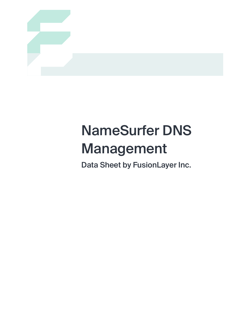

# NameSurfer DNS Management

Data Sheet by FusionLayer Inc.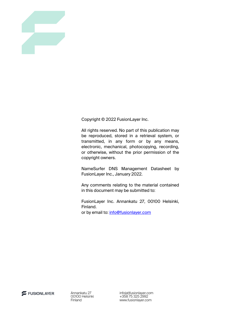

Copyright © 2022 FusionLayer Inc.

All rights reserved. No part of this publication may be reproduced, stored in a retrieval system, or transmitted, in any form or by any means, electronic, mechanical, photocopying, recording, or otherwise, without the prior permission of the copyright owners.

NameSurfer DNS Management Datasheet by FusionLayer Inc., January 2022.

Any comments relating to the material contained in this document may be submitted to:

FusionLayer Inc. Annankatu 27, 00100 Helsinki, Finland. or by email to: info@fusionlayer.com



Annankatu 27 00100 Helsinki Finland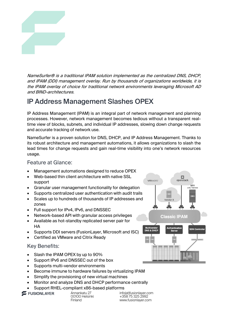

NameSurfer® is a traditional IPAM solution implemented as the centralized DNS, DHCP, and IPAM (DDI) management overlay. Run by thousands of organizations worldwide, it is the IPAM overlay of choice for traditional network environments leveraging Microsoft AD and BIND-architectures.

## IP Address Management Slashes OPEX

IP Address Management (IPAM) is an integral part of network management and planning processes. However, network management becomes tedious without a transparent realtime view of blocks, subnets, and individual IP addresses, slowing down change requests and accurate tracking of network use.

NameSurfer is a proven solution for DNS, DHCP, and IP Address Management. Thanks to its robust architecture and management automations, it allows organizations to slash the lead times for change requests and gain real-time visibility into one's network resources usage.

#### Feature at Glance:

- Management automations designed to reduce OPEX
- Web-based thin client architecture with native SSL support
- Granular user management functionality for delegation
- Supports centralized user authentication with audit trails
- Scales up to hundreds of thousands of IP addresses and zones
- Full support for IPv4, IPv6, and DNSSEC
- Network-based API with granular access privileges
- Available as hot-standby replicated server pair for HA
- Supports DDI servers (FusionLayer, Microsoft and ISC)
- Certified as VMware and Citrix Ready

#### Key Benefits:

- Slash the IPAM OPEX by up to 90%
- Support IPv6 and DNSSEC out of the box
- Supports multi-vendor environments
- Become immune to hardware failures by virtualizing IPAM
- Simplify the provisioning of new virtual machines
- Monitor and analyze DNS and DHCP performance centrally
- Support RHEL-compliant x86-based platforms

 $\blacktriangleright$  FUSIONLAYER

Annankatu 27 00100 Helsinki Finland

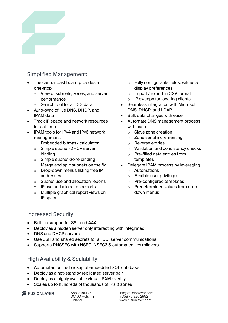

#### Simplified Management:

- The central dashboard provides a one-stop:
	- o View of subnets, zones, and server performance
	- o Search tool for all DDI data
- Auto-sync of live DNS, DHCP, and IPAM data
- Track IP space and network resources in real-time
- IPAM tools for IPv4 and IPv6 network management:
	- o Embedded bitmask calculator
	- o Simple subnet-DHCP server binding
	- o Simple subnet-zone binding
	- o Merge and split subnets on the fly
	- o Drop-down menus listing free IP addresses
	- o Subnet use and allocation reports
	- o IP use and allocation reports
	- o Multiple graphical report views on IP space
- o Fully configurable fields, values & display preferences
- o Import / export in CSV format
- $\circ$  IP sweeps for locating clients
- Seamless integration with Microsoft DNS, DHCP, and LDAP
- Bulk data changes with ease
- Automate DNS management process with ease
	- o Slave zone creation
	- o Zone serial incrementing
	- o Reverse entries
	- o Validation and consistency checks
	- o Pre-filled data entries from templates
- Delegate IPAM process by leveraging
	- o Automations
	- o Flexible user privileges
	- o Pre-configured templates
	- o Predetermined values from dropdown menus

#### Increased Security

- Built-in support for SSL and AAA
- Deploy as a hidden server only interacting with integrated
- DNS and DHCP servers
- Use SSH and shared secrets for all DDI server communications
- Supports DNSSEC with NSEC, NSEC3 & automated key rollovers

#### High Availability & Scalability

- Automated online backup of embedded SQL database
- Deploy as a hot-standby replicated server pair
- Deploy as a highly available virtual IPAM overlay
- Scales up to hundreds of thousands of IPs & zones

FUSIONLAYER

Annankatu 27 00100 Helsinki Finland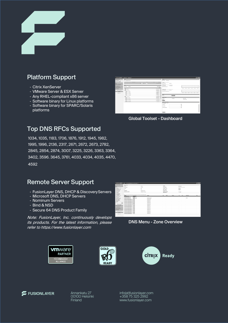

## Platform Support

- Citrix XenServer
- VMware Server & ESX Server
- Any RHEL-compliant x86 server
- Software binary for Linux platforms
- Software binary for SPARC/Solaris platforms

|                                                                                                                                                                                                                                               | NFMESURFER DOMINION - DRADGAY IT                                                                                                                                                                                                                                                                                                                                                                                                                                                                                                                                                                                                          | <b>CHARGE</b>                                                                                                                                                                                                                                                                                                                                                                                                                                                                                                                                                                                                                                                                                                                                                                                                   |
|-----------------------------------------------------------------------------------------------------------------------------------------------------------------------------------------------------------------------------------------------|-------------------------------------------------------------------------------------------------------------------------------------------------------------------------------------------------------------------------------------------------------------------------------------------------------------------------------------------------------------------------------------------------------------------------------------------------------------------------------------------------------------------------------------------------------------------------------------------------------------------------------------------|-----------------------------------------------------------------------------------------------------------------------------------------------------------------------------------------------------------------------------------------------------------------------------------------------------------------------------------------------------------------------------------------------------------------------------------------------------------------------------------------------------------------------------------------------------------------------------------------------------------------------------------------------------------------------------------------------------------------------------------------------------------------------------------------------------------------|
| <b>GLOBAL TOOLS</b><br>a Conferent<br>a flowch and rooffy<br>a Anti-many stands<br><b>DAS</b><br><b>AGNOTE SERVERS</b><br><b>WACCHESSES</b><br><b>CONFIDENTION</b><br><b>MANUFACHUT</b><br>Longed to an admin.<br><b>Lag nd</b><br>Seabor 713 | <b>Term</b><br>Stoy Fayette . 20041<br><b>Zing name in</b><br><b>TRANS</b><br><b>TOTAL</b><br><b>Ver</b><br>PASS AT 1971 In the<br><b>The measured for your</b><br><b>Distant</b><br>$200\sqrt{A}$<br>· Issues<br>front day #<br><b>Exam</b><br><b>EXECUT</b><br><b>ANTI</b><br>$-98123222$<br><b>Cam</b><br>■13.42.624/35<br><b>APL</b><br>$+$ 80 cannot as<br><b>Silvers</b><br>$-$ 8 12.12.12.125.29<br><b>COLOR</b><br>$\cdots$<br><b>图13.12.13.19079</b><br>BILLERIES<br><b>Can</b><br>图 (4.14.14.03)<br>X <sub>n</sub><br><b>B</b> ILIELECTE<br><b>In</b><br><b>書</b> (4)4)413626<br><b>Control</b><br><b>BULGUARY</b><br>$-49.7 -$ | <b>Europa</b><br>Show AB<br>· Floryes<br>locations Managed 2003<br>Service status<br>Farring<br><b>TO MAIN FOR FLOOR AUSTRALIANS</b><br>Service stake:<br><b>United Miles</b><br>٠<br><b>SERVICE</b><br>Quart Technic Gard<br>÷<br><b>TAX</b><br>8.91<br>FE OF<br>16 mi<br>AM<br>$A = 1$<br>100 MILSE FOR FLOOR AND CACE TOYOTA<br><b><i><u>Remine middel</u></i></b><br>Europe<br>Graph Hiro Season (per sec)<br>Ŧ<br>w<br><b>HEAT</b><br>$10 - 10$<br>$+ +$<br><b>ALC</b><br>$\overline{1}$<br>14.00<br><b>Search</b><br>(60) (660)<br><b>Beaux [</b><br>Logard is users<br><b>Full series</b><br>Lost active<br>Access<br>5 seconds ago<br>o desire<br>(Autum)<br><b>Manage Duramic Hinris</b><br>fair antree.<br>. .<br>$\circ$<br><b>Lindhams</b><br>a<br>Experience<br>$\alpha$<br><b>Hartway Johnson</b> |
|                                                                                                                                                                                                                                               |                                                                                                                                                                                                                                                                                                                                                                                                                                                                                                                                                                                                                                           | Cotine.                                                                                                                                                                                                                                                                                                                                                                                                                                                                                                                                                                                                                                                                                                                                                                                                         |

Global Toolset - Dashboard

### Top DNS RFCs Supported

1034, 1035, 1183, 1706, 1876, 1912, 1945, 1982, 1995, 1996, 2136, 2317, 2671, 2672, 2673, 2782, 2845, 2854, 2874, 3007, 3225, 3226, 3363, 3364, 3402, 3596. 3645, 3761, 4033, 4034, 4035, 4470, 4592

## Remote Server Support

- FusionLayer DNS, DHCP & DiscoveryServers
- Microsoft DNS, DHCP Servers
- Nominum Servers
- Bind & NSD
- Secure 64 DNS Product Family

Note: FusionLayer, Inc. continuously develops its products. For the latest information, please refer to https://www.fusionlayer.com

| <b>NEMESUREER</b>                                             | ERIT - Zinko damadadada com si www.debuit (5)                                        |                                    |                             |                                 |                  |                                           |                          |             |                    |      |  |  |
|---------------------------------------------------------------|--------------------------------------------------------------------------------------|------------------------------------|-----------------------------|---------------------------------|------------------|-------------------------------------------|--------------------------|-------------|--------------------|------|--|--|
| GLOBAL TOOLS                                                  | Data maniers                                                                         |                                    |                             |                                 |                  |                                           |                          |             |                    |      |  |  |
| <b>DAY</b>                                                    | Tuce                                                                                 |                                    | <b>Robert</b>               |                                 | <b>Service</b> : |                                           |                          | 2010062112  |                    |      |  |  |
| a Zone                                                        | <b>Constitute</b><br>mobile                                                          |                                    |                             | Last Available                  |                  |                                           | Profess 21 13 27 13 2019 |             |                    |      |  |  |
| AM wounts word #                                              | <b>Nodes:</b><br>$\alpha$                                                            |                                    |                             |                                 | ON1000 status    |                                           |                          |             |                    |      |  |  |
| Jul Levill                                                    |                                                                                      |                                    |                             |                                 | <b>REFERENCE</b> |                                           |                          | disabled    |                    |      |  |  |
| Add methods been<br>AAI coal raute                            | ×                                                                                    |                                    |                             | ×                               |                  |                                           |                          |             | mated              |      |  |  |
| 3.44 commonl                                                  |                                                                                      | <b>Monter MA</b><br>actual use for |                             |                                 | ONSED! Now       |                                           |                          |             |                    |      |  |  |
| Julié candon<br>AM also                                       | Some servers (672)                                                                   |                                    | Product as an Advant        |                                 |                  | <b>Bonda secondary</b><br>need a survivor |                          |             | NAMoth             |      |  |  |
| Add delegation<br>34 Abraham<br>Change Ing<br>Incor Dig ranks | FOR HURSLEY/ATTRONOUGLATIONALIST 23 2014 2021 10:00<br><b>Base</b>                   |                                    | <b><i><u>AGRALL</u></i></b> | MK.                             | <b>HEPO</b>      | <b>Allona 4</b>                           | $\mathbf{r}$             | <b>Boat</b> | <b>Hidden Text</b> | w    |  |  |
| <b>Between corp.</b>                                          | DISTRIBUTE                                                                           | <b><i><b>BackLook</b></i></b>      |                             |                                 |                  |                                           |                          |             |                    |      |  |  |
| Copy Jane                                                     | Godad Andra Seleda com                                                               | 2748                               |                             |                                 |                  |                                           |                          |             |                    |      |  |  |
| Export master fire<br><b>Punctions</b> for                    | <b>Back Andre builde out</b>                                                         | <b>EXAMI</b> NATI                  |                             | <b>Badel alle con</b>           |                  |                                           |                          |             |                    | diam |  |  |
| <b>Bulk changes</b>                                           | distanted deductedads com-                                                           | 2.94                               |                             | 821461181187<br>162, 165, 162 9 |                  |                                           |                          |             |                    |      |  |  |
| Zone statistics                                               | Control must b) declared administrator (A. Wolf<br>Paintiner !! debatalala can @ PvE |                                    |                             | 192 345 1621                    |                  |                                           |                          |             |                    |      |  |  |
| Settings                                                      | Extent early debated and can 30 BSD                                                  |                                    |                             | 102104-0122                     |                  |                                           |                          |             |                    |      |  |  |
| . Heys                                                        | Equippines (1) deliverable for cars (8) well                                         |                                    |                             | 162.168.18.22                   |                  |                                           |                          |             |                    |      |  |  |
| m<br><b>Zearch</b>                                            | Federate and Anti-Anti-Anti- cars (8) that                                           |                                    |                             | 102103-0024                     |                  |                                           |                          |             |                    |      |  |  |
| Advanced search<br><b>RESISTE SPIRATES</b>                    | SUMMARY! AND ARRAIGNMENT OF THE                                                      |                                    |                             | 162, 164, 16.25                 |                  |                                           |                          |             |                    |      |  |  |
|                                                               | Fasteni ment debadadada com DK PVK                                                   |                                    |                             | 1021011511                      |                  |                                           |                          |             |                    |      |  |  |
|                                                               | Esteria and debudately con D. Put                                                    |                                    |                             | 102 165 16 12                   |                  |                                           |                          |             |                    |      |  |  |
| <b>SEX/VIDEOUS</b>                                            | Paster & month dash index below a sen-                                               | 6.752                              |                             | 192, 193, 1912                  |                  |                                           |                          |             |                    |      |  |  |
|                                                               | Fastent ment demoderations com-                                                      | 2.77                               |                             | 192, 108, 101, 14               |                  |                                           |                          |             |                    |      |  |  |
| <b><i>CARLO BATER</i></b>                                     | Control and debadated user 30 PM                                                     |                                    |                             | 102.066.16.15                   |                  |                                           |                          |             |                    |      |  |  |
| <b><i>SIGN MYSES</i></b>                                      | Peters earl debadatala com                                                           | $-40.00$                           |                             | 102105-1019                     |                  |                                           |                          |             |                    |      |  |  |
|                                                               | THROAD CORPORATION                                                                   | 2.74                               |                             | 193.144.14.17                   |                  |                                           |                          |             |                    |      |  |  |
| Louisville, an admin-                                         | Fasteni medi, detto da bete com                                                      | OC PVR                             |                             | 192, 164, 16, 18                |                  |                                           |                          |             |                    |      |  |  |
|                                                               |                                                                                      |                                    |                             | 102114-14-19                    |                  |                                           |                          |             |                    |      |  |  |
| Link and                                                      | Tester Leurd clatus factoris com                                                     | 9.94                               |                             |                                 |                  |                                           |                          |             |                    |      |  |  |

DNS Menu - Zone Overview





Annankatu 27 00100 Helsinki Finland